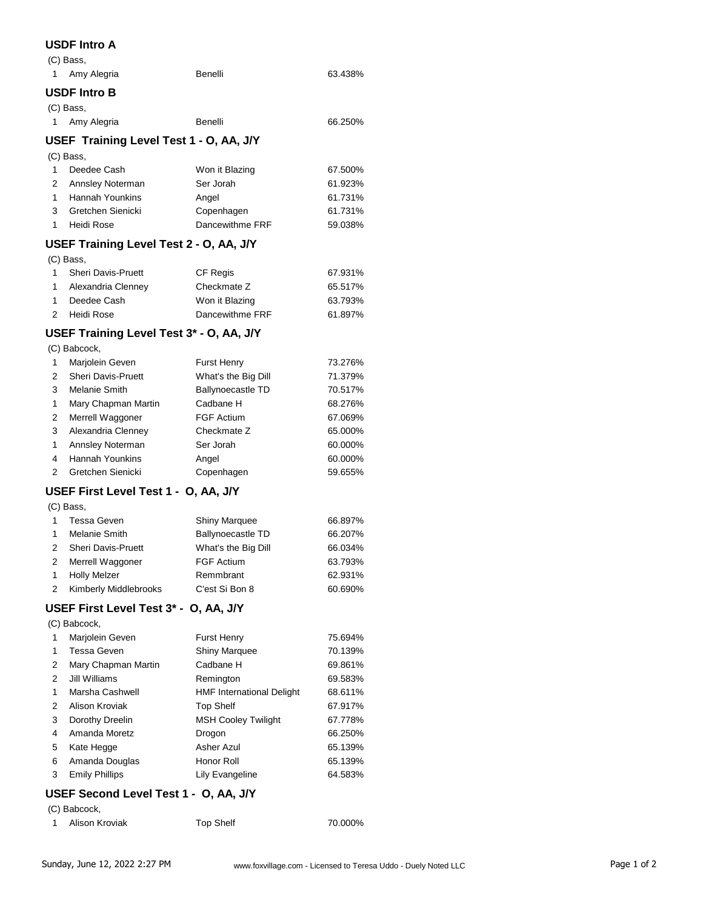#### **USDF Intro A**

| (C) Bass,                     |         |         |
|-------------------------------|---------|---------|
| Amy Alegria<br>$\overline{1}$ | Benelli | 63.438% |
| <b>USDF Intro B</b>           |         |         |
| (C) Bass,                     |         |         |
| Amy Alegria<br>$\overline{1}$ | Benelli | 66.250% |

### **USEF Training Level Test 1 - O, AA, J/Y**

(C) Bass,

| $\mathbf{1}$   | Deedee Cash        | Won it Blazing  | 67.500% |
|----------------|--------------------|-----------------|---------|
|                | 2 Annsley Noterman | Ser Jorah       | 61.923% |
|                | Hannah Younkins    | Angel           | 61.731% |
| $\mathbf{3}$   | Gretchen Sienicki  | Copenhagen      | 61.731% |
| $\overline{1}$ | Heidi Rose         | Dancewithme FRF | 59.038% |
|                |                    |                 |         |

## **USEF Training Level Test 2 - O, AA, J/Y**

|                | (C) Bass,                 |                 |         |
|----------------|---------------------------|-----------------|---------|
|                | <b>Sheri Davis-Pruett</b> | CF Regis        | 67.931% |
|                | Alexandria Clenney        | Checkmate Z     | 65.517% |
|                | Deedee Cash               | Won it Blazing  | 63.793% |
| $\overline{2}$ | Heidi Rose                | Dancewithme FRF | 61.897% |

#### **USEF Training Level Test 3\* - O, AA, J/Y**

(C) Babcock,

| 1 | Marjolein Geven           | <b>Furst Henry</b>       | 73.276% |
|---|---------------------------|--------------------------|---------|
| 2 | <b>Sheri Davis-Pruett</b> | What's the Big Dill      | 71.379% |
| 3 | Melanie Smith             | <b>Ballynoecastle TD</b> | 70.517% |
| 1 | Mary Chapman Martin       | Cadbane H                | 68.276% |
| 2 | Merrell Waggoner          | <b>FGF Actium</b>        | 67.069% |
| 3 | Alexandria Clenney        | Checkmate Z              | 65.000% |
| 1 | Annsley Noterman          | Ser Jorah                | 60.000% |
| 4 | <b>Hannah Younkins</b>    | Angel                    | 60.000% |
| 2 | Gretchen Sienicki         | Copenhagen               | 59.655% |

## **USEF First Level Test 1 - O, AA, J/Y**

| (C) Bass,                 |                      |         |
|---------------------------|----------------------|---------|
| Tessa Geven               | <b>Shiny Marquee</b> | 66.897% |
| Melanie Smith             | Ballynoecastle TD    | 66.207% |
| <b>Sheri Davis-Pruett</b> | What's the Big Dill  | 66.034% |
| Merrell Waggoner          | <b>FGF Actium</b>    | 63.793% |
| <b>Holly Melzer</b>       | Remmbrant            | 62.931% |
| Kimberly Middlebrooks     | C'est Si Bon 8       | 60.690% |

### **USEF First Level Test 3\* - O, AA, J/Y**

(C) Babcock,

| 1 | Marjolein Geven       | <b>Furst Henry</b>               | 75.694% |
|---|-----------------------|----------------------------------|---------|
|   |                       |                                  |         |
| 1 | Tessa Geven           | <b>Shiny Marquee</b>             | 70.139% |
| 2 | Mary Chapman Martin   | Cadbane H                        | 69.861% |
| 2 | Jill Williams         | Remington                        | 69.583% |
| 1 | Marsha Cashwell       | <b>HMF</b> International Delight | 68.611% |
| 2 | Alison Kroviak        | <b>Top Shelf</b>                 | 67.917% |
| 3 | Dorothy Dreelin       | <b>MSH Cooley Twilight</b>       | 67.778% |
| 4 | Amanda Moretz         | Drogon                           | 66.250% |
| 5 | Kate Hegge            | Asher Azul                       | 65.139% |
| 6 | Amanda Douglas        | Honor Roll                       | 65.139% |
| 3 | <b>Emily Phillips</b> | Lily Evangeline                  | 64.583% |
|   |                       |                                  |         |

# **USEF Second Level Test 1 - O, AA, J/Y**

| (C) Babcock, |  |
|--------------|--|
|              |  |

| Alison Kroviak | <b>Top Shelf</b> | 70.000% |
|----------------|------------------|---------|
|                |                  |         |